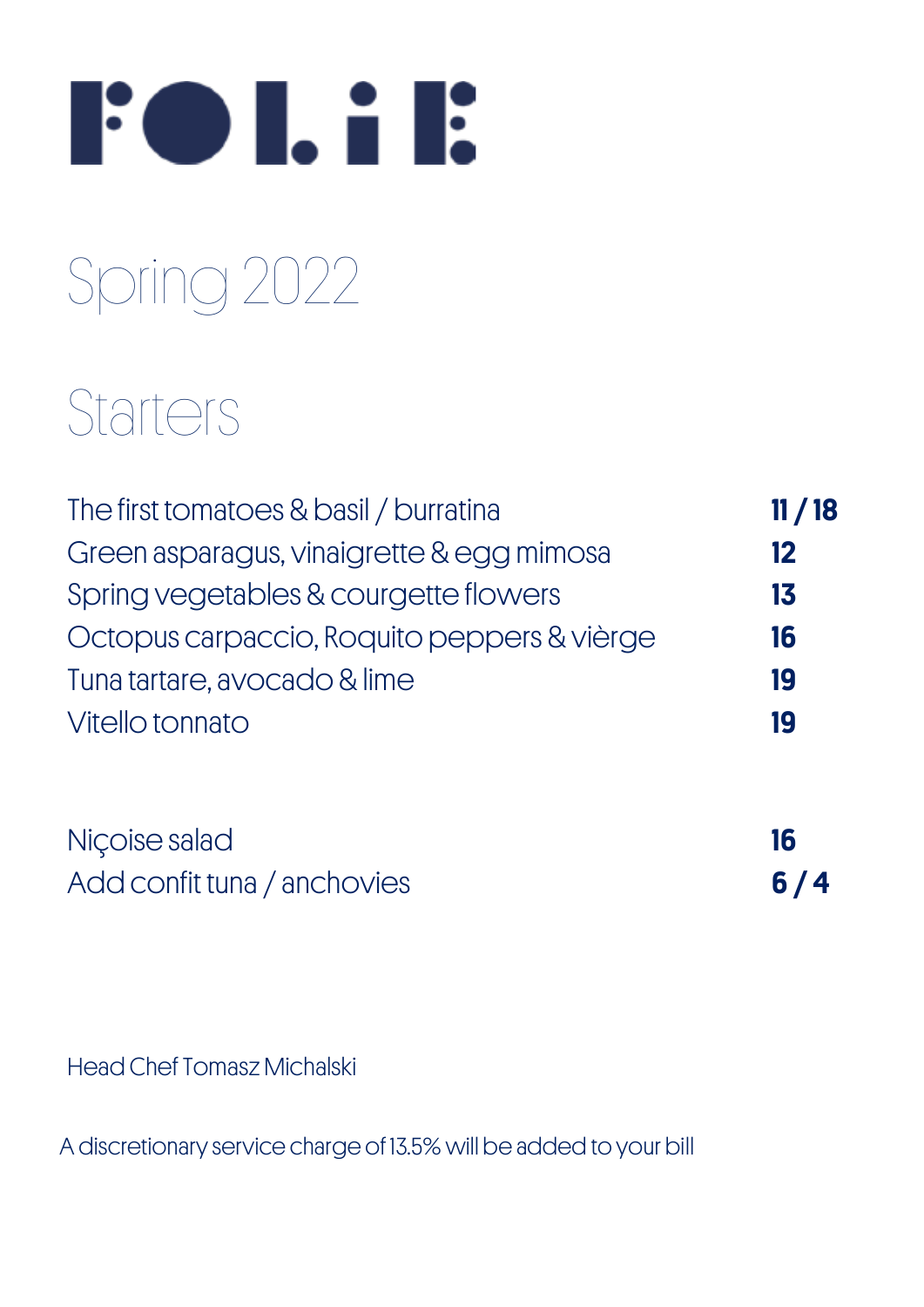

## Spring 2022

## **Starters**

| The first tomatoes & basil / burratina      | 11/18 |
|---------------------------------------------|-------|
| Green asparagus, vinaigrette & egg mimosa   | 12    |
| Spring vegetables & courgette flowers       | 13    |
| Octopus carpaccio, Roquito peppers & vièrge | 16    |
| Tuna tartare, avocado & lime                | 19    |
| Vitello tonnato                             | 19    |
| Niçoise salad                               | 16    |
| Add confit tuna / anchovies                 | 6     |

Head Chef Tomasz Michalski

A discretionary service charge of 13.5% will be added to your bill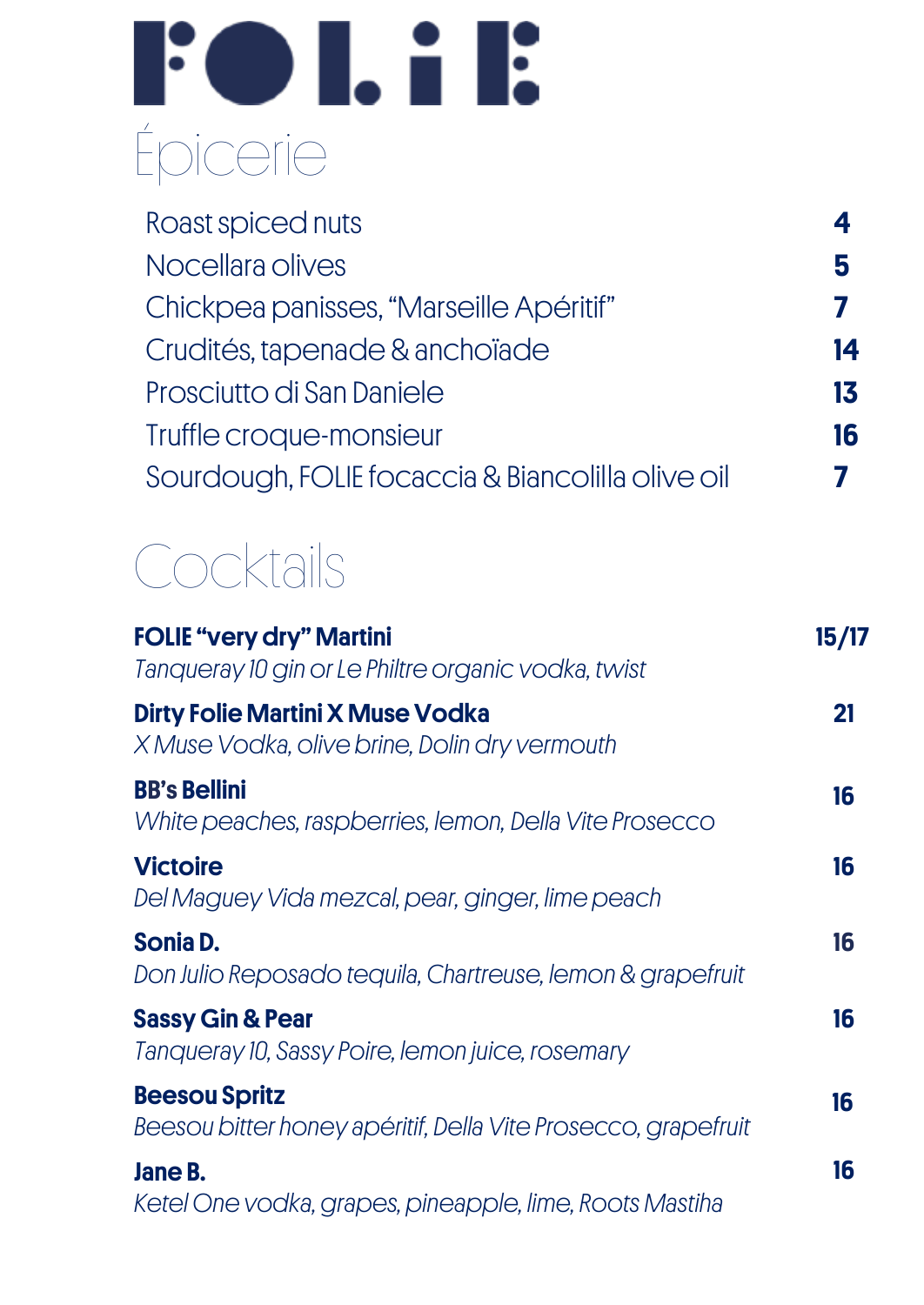# **Fol.il:** Épicerie

| Roast spiced nuts                                 |    |
|---------------------------------------------------|----|
| Nocellara olives                                  |    |
| Chickpea panisses, "Marseille Apéritif"           |    |
| Crudités, tapenade & anchoïade                    | 14 |
| Prosciutto di San Daniele                         | 13 |
| Truffle croque-monsieur                           | 16 |
| Sourdough, FOLIE focaccia & Biancolilla olive oil |    |
|                                                   |    |

### **Cocktails**

| <b>FOLIE "very dry" Martini</b><br>Tanqueray 10 gin or Le Philtre organic vodka, twist   | 15/17 |
|------------------------------------------------------------------------------------------|-------|
| <b>Dirty Folie Martini X Muse Vodka</b><br>X Muse Vodka, olive brine, Dolin dry vermouth | 21    |
| <b>BB's Bellini</b><br>White peaches, raspberries, lemon, Della Vite Prosecco            | 16    |
| <b>Victoire</b><br>Del Maguey Vida mezcal, pear, ginger, lime peach                      | 16    |
| Sonia D.<br>Don Julio Reposado tequila, Chartreuse, lemon & grapefruit                   | 16    |
| <b>Sassy Gin &amp; Pear</b><br>Tanqueray 10, Sassy Poire, lemon juice, rosemary          | 16    |
| <b>Beesou Spritz</b><br>Beesou bitter honey apéritif, Della Vite Prosecco, grapefruit    | 16    |
| Jane B.<br>Ketel One vodka, grapes, pineapple, lime, Roots Mastiha                       | 16    |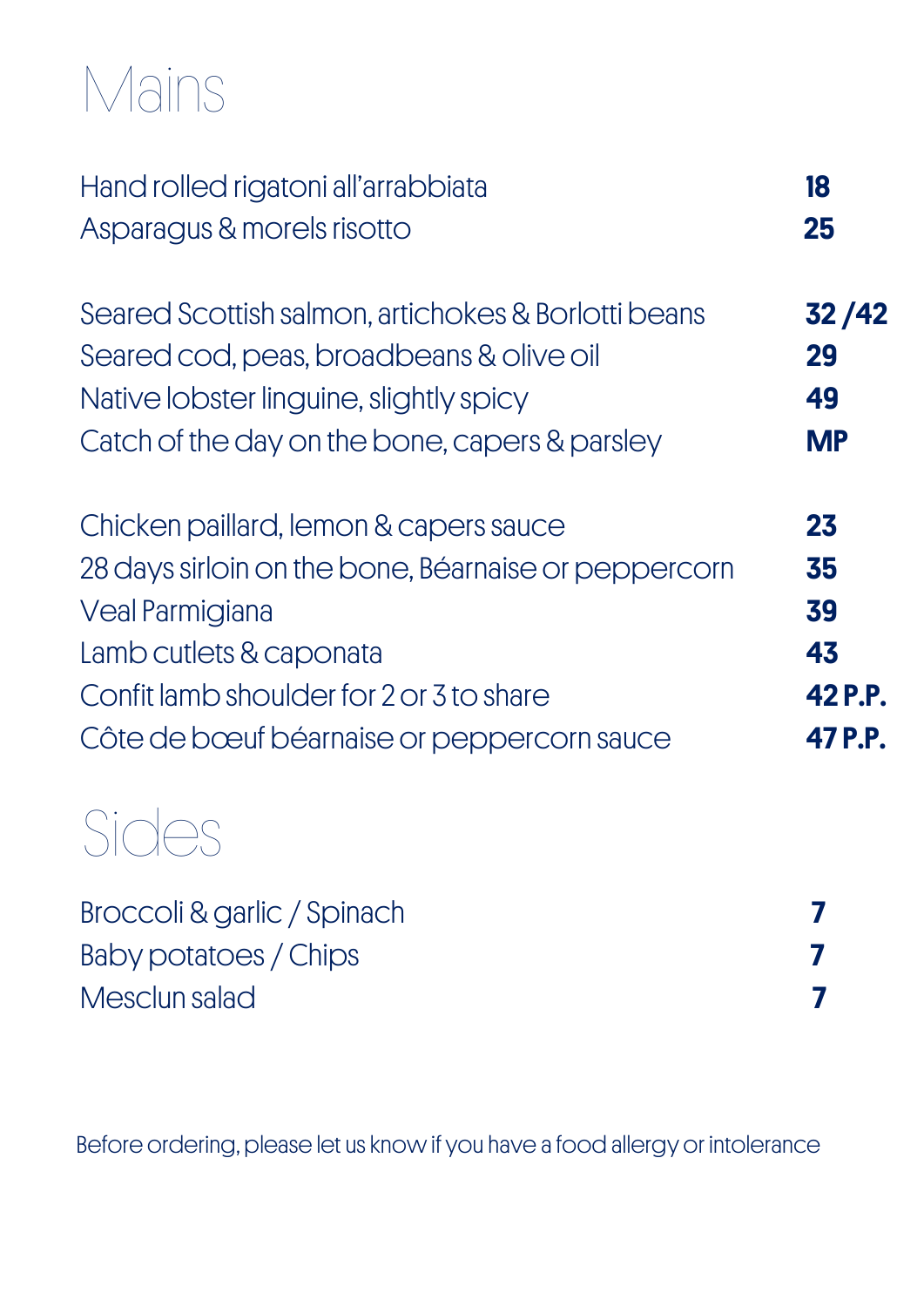## Mains

| Hand rolled rigatoni all'arrabbiata                  | 18        |
|------------------------------------------------------|-----------|
| Asparagus & morels risotto                           | 25        |
| Seared Scottish salmon, artichokes & Borlotti beans  | 32 / 42   |
| Seared cod, peas, broadbeans & olive oil             | 29        |
| Native lobster linguine, slightly spicy              | 49        |
| Catch of the day on the bone, capers & parsley       | <b>MP</b> |
| Chicken paillard, lemon & capers sauce               | 23        |
| 28 days sirloin on the bone, Béarnaise or peppercorn | 35        |
| <b>Veal Parmigiana</b>                               | 39        |
| Lamb cutlets & caponata                              | 43        |
| Confit lamb shoulder for 2 or 3 to share             | 42 P.P.   |
| Côte de bœuf béarnaise or peppercorn sauce           | 47 P.P.   |
|                                                      |           |
| Broccoli & garlic / Spinach                          | 7         |

| Baby potatoes / Chips |  |
|-----------------------|--|
| Mesclun salad         |  |

Before ordering, please let us know if you have a food allergy or intolerance